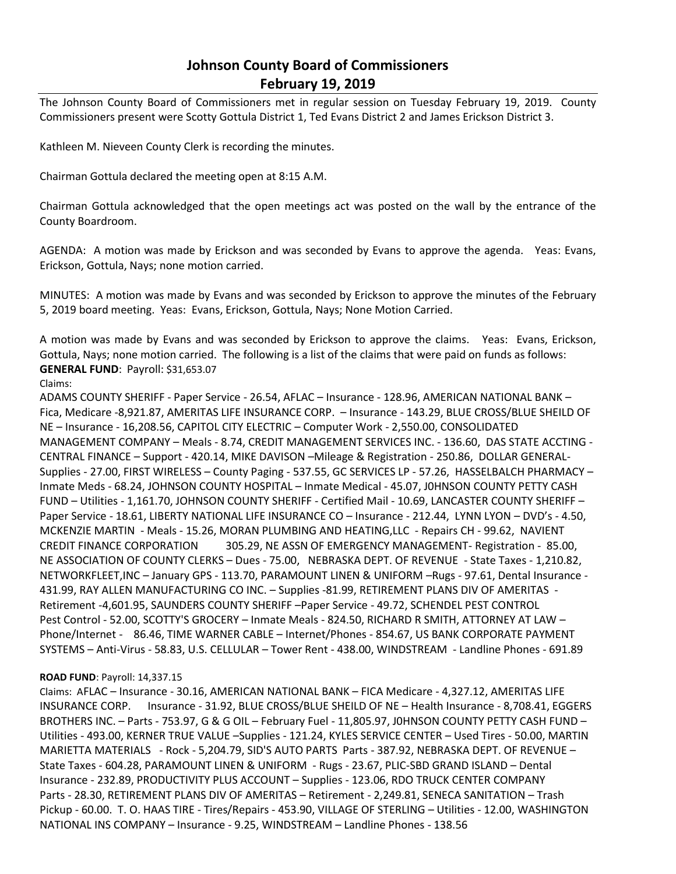# **Johnson County Board of Commissioners February 19, 2019**

The Johnson County Board of Commissioners met in regular session on Tuesday February 19, 2019. County Commissioners present were Scotty Gottula District 1, Ted Evans District 2 and James Erickson District 3.

Kathleen M. Nieveen County Clerk is recording the minutes.

Chairman Gottula declared the meeting open at 8:15 A.M.

Chairman Gottula acknowledged that the open meetings act was posted on the wall by the entrance of the County Boardroom.

AGENDA: A motion was made by Erickson and was seconded by Evans to approve the agenda. Yeas: Evans, Erickson, Gottula, Nays; none motion carried.

MINUTES: A motion was made by Evans and was seconded by Erickson to approve the minutes of the February 5, 2019 board meeting. Yeas: Evans, Erickson, Gottula, Nays; None Motion Carried.

A motion was made by Evans and was seconded by Erickson to approve the claims. Yeas: Evans, Erickson, Gottula, Nays; none motion carried. The following is a list of the claims that were paid on funds as follows: **GENERAL FUND**: Payroll: \$31,653.07

Claims:

ADAMS COUNTY SHERIFF - Paper Service - 26.54, AFLAC – Insurance - 128.96, AMERICAN NATIONAL BANK – Fica, Medicare -8,921.87, AMERITAS LIFE INSURANCE CORP. – Insurance - 143.29, BLUE CROSS/BLUE SHEILD OF NE – Insurance - 16,208.56, CAPITOL CITY ELECTRIC – Computer Work - 2,550.00, CONSOLIDATED MANAGEMENT COMPANY – Meals - 8.74, CREDIT MANAGEMENT SERVICES INC. - 136.60, DAS STATE ACCTING - CENTRAL FINANCE – Support - 420.14, MIKE DAVISON –Mileage & Registration - 250.86, DOLLAR GENERAL-Supplies - 27.00, FIRST WIRELESS – County Paging - 537.55, GC SERVICES LP - 57.26, HASSELBALCH PHARMACY – Inmate Meds - 68.24, JOHNSON COUNTY HOSPITAL – Inmate Medical - 45.07, J0HNSON COUNTY PETTY CASH FUND – Utilities - 1,161.70, JOHNSON COUNTY SHERIFF - Certified Mail - 10.69, LANCASTER COUNTY SHERIFF – Paper Service - 18.61, LIBERTY NATIONAL LIFE INSURANCE CO - Insurance - 212.44, LYNN LYON - DVD's - 4.50, MCKENZIE MARTIN - Meals - 15.26, MORAN PLUMBING AND HEATING,LLC - Repairs CH - 99.62, NAVIENT CREDIT FINANCE CORPORATION 305.29, NE ASSN OF EMERGENCY MANAGEMENT- Registration - 85.00, NE ASSOCIATION OF COUNTY CLERKS – Dues - 75.00, NEBRASKA DEPT. OF REVENUE - State Taxes - 1,210.82, NETWORKFLEET,INC – January GPS - 113.70, PARAMOUNT LINEN & UNIFORM –Rugs - 97.61, Dental Insurance - 431.99, RAY ALLEN MANUFACTURING CO INC. – Supplies -81.99, RETIREMENT PLANS DIV OF AMERITAS - Retirement -4,601.95, SAUNDERS COUNTY SHERIFF –Paper Service - 49.72, SCHENDEL PEST CONTROL Pest Control - 52.00, SCOTTY'S GROCERY – Inmate Meals - 824.50, RICHARD R SMITH, ATTORNEY AT LAW – Phone/Internet - 86.46, TIME WARNER CABLE – Internet/Phones - 854.67, US BANK CORPORATE PAYMENT SYSTEMS – Anti-Virus - 58.83, U.S. CELLULAR – Tower Rent - 438.00, WINDSTREAM - Landline Phones - 691.89

## **ROAD FUND**: Payroll: 14,337.15

Claims: AFLAC – Insurance - 30.16, AMERICAN NATIONAL BANK – FICA Medicare - 4,327.12, AMERITAS LIFE INSURANCE CORP. Insurance - 31.92, BLUE CROSS/BLUE SHEILD OF NE – Health Insurance - 8,708.41, EGGERS BROTHERS INC. – Parts - 753.97, G & G OIL – February Fuel - 11,805.97, J0HNSON COUNTY PETTY CASH FUND – Utilities - 493.00, KERNER TRUE VALUE –Supplies - 121.24, KYLES SERVICE CENTER – Used Tires - 50.00, MARTIN MARIETTA MATERIALS - Rock - 5,204.79, SID'S AUTO PARTS Parts - 387.92, NEBRASKA DEPT. OF REVENUE – State Taxes - 604.28, PARAMOUNT LINEN & UNIFORM - Rugs - 23.67, PLIC-SBD GRAND ISLAND – Dental Insurance - 232.89, PRODUCTIVITY PLUS ACCOUNT – Supplies - 123.06, RDO TRUCK CENTER COMPANY Parts - 28.30, RETIREMENT PLANS DIV OF AMERITAS – Retirement - 2,249.81, SENECA SANITATION – Trash Pickup - 60.00. T. O. HAAS TIRE - Tires/Repairs - 453.90, VILLAGE OF STERLING – Utilities - 12.00, WASHINGTON NATIONAL INS COMPANY – Insurance - 9.25, WINDSTREAM – Landline Phones - 138.56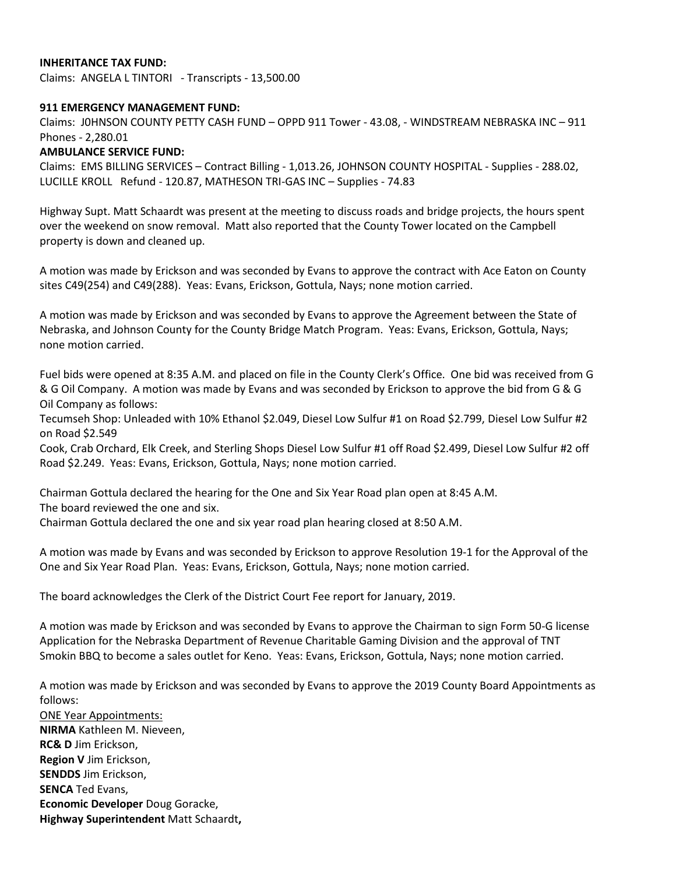# **INHERITANCE TAX FUND:**

Claims: ANGELA L TINTORI - Transcripts - 13,500.00

#### **911 EMERGENCY MANAGEMENT FUND:**

Claims: J0HNSON COUNTY PETTY CASH FUND – OPPD 911 Tower - 43.08, - WINDSTREAM NEBRASKA INC – 911 Phones - 2,280.01

## **AMBULANCE SERVICE FUND:**

Claims: EMS BILLING SERVICES – Contract Billing - 1,013.26, JOHNSON COUNTY HOSPITAL - Supplies - 288.02, LUCILLE KROLL Refund - 120.87, MATHESON TRI-GAS INC – Supplies - 74.83

Highway Supt. Matt Schaardt was present at the meeting to discuss roads and bridge projects, the hours spent over the weekend on snow removal. Matt also reported that the County Tower located on the Campbell property is down and cleaned up.

A motion was made by Erickson and was seconded by Evans to approve the contract with Ace Eaton on County sites C49(254) and C49(288). Yeas: Evans, Erickson, Gottula, Nays; none motion carried.

A motion was made by Erickson and was seconded by Evans to approve the Agreement between the State of Nebraska, and Johnson County for the County Bridge Match Program. Yeas: Evans, Erickson, Gottula, Nays; none motion carried.

Fuel bids were opened at 8:35 A.M. and placed on file in the County Clerk's Office. One bid was received from G & G Oil Company. A motion was made by Evans and was seconded by Erickson to approve the bid from G & G Oil Company as follows:

Tecumseh Shop: Unleaded with 10% Ethanol \$2.049, Diesel Low Sulfur #1 on Road \$2.799, Diesel Low Sulfur #2 on Road \$2.549

Cook, Crab Orchard, Elk Creek, and Sterling Shops Diesel Low Sulfur #1 off Road \$2.499, Diesel Low Sulfur #2 off Road \$2.249. Yeas: Evans, Erickson, Gottula, Nays; none motion carried.

Chairman Gottula declared the hearing for the One and Six Year Road plan open at 8:45 A.M. The board reviewed the one and six.

Chairman Gottula declared the one and six year road plan hearing closed at 8:50 A.M.

A motion was made by Evans and was seconded by Erickson to approve Resolution 19-1 for the Approval of the One and Six Year Road Plan. Yeas: Evans, Erickson, Gottula, Nays; none motion carried.

The board acknowledges the Clerk of the District Court Fee report for January, 2019.

A motion was made by Erickson and was seconded by Evans to approve the Chairman to sign Form 50-G license Application for the Nebraska Department of Revenue Charitable Gaming Division and the approval of TNT Smokin BBQ to become a sales outlet for Keno. Yeas: Evans, Erickson, Gottula, Nays; none motion carried.

A motion was made by Erickson and was seconded by Evans to approve the 2019 County Board Appointments as follows:

ONE Year Appointments: **NIRMA** Kathleen M. Nieveen, **RC& D** Jim Erickson, **Region V** Jim Erickson, **SENDDS** Jim Erickson, **SENCA** Ted Evans, **Economic Developer** Doug Goracke, **Highway Superintendent** Matt Schaardt**,**